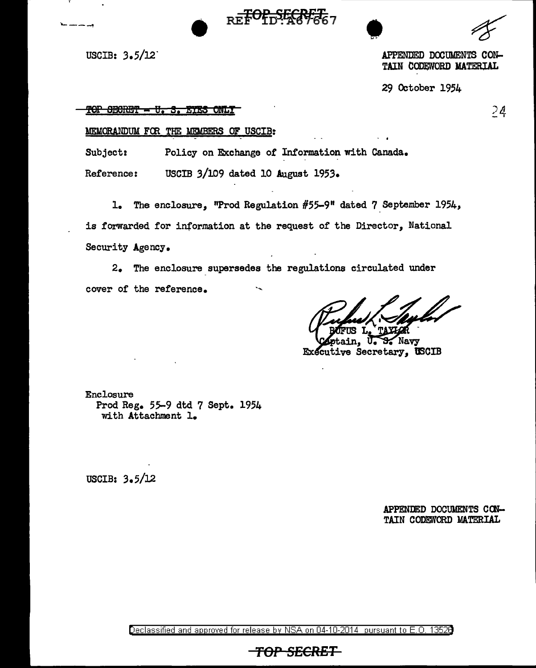$R = F + 3.5/12$   $R = F + 3.5/12$ 

*)t1*  - I

REFORMERT TAIN CODEWORD MATERIAL

29 October 1954

#### TOP SECRET - U. S. EYES ONLY

#### MEMORANDUM FCR THE: *MEMBERS* OF USCIB:

Subject: Policy on Exchange of Information with Canada.

Reference: USCIB 3/109 dated 10 August 1953.

1. The enclosure, "Prod Regulation  $#55-9"$  dated 7 September 1954, is forwarded for information at the request of the Director, National Security Agency.

2. The enclosure supersedes the regulations circulated under cover of the reference.

ain, U.S. Navy Executive Secretary, USCIB

Enclosure Prod Reg. 55-9 dtd 7 Sept, 1954 with Attachment 1.

USCIB: 3.5/12

APPENDED DOCUMENTS CON-TAIN CODEWORD MATERIAL

Declassified and approved for release by NSA on 04-10-2014 pursuant to E. 0. 1352B

*TOP SECRET*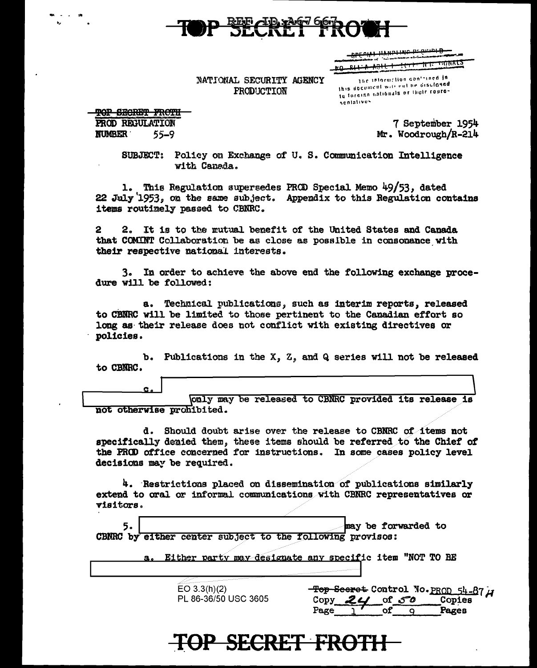

<del>-8LEcity hymorime beginni D</del> <del>-monal</del>S RO RILLA ASIL I TELLETIKTE

NATIONAL SECURITY AGENCY **FRODUCTION** 

The information contained in this document with not be disclosed to foreinn nationals or their represchiatives.

**TOP SECRET FROTH** PROD REGULATION

 $55 - 9$ 

**NUMBER** 

7 September 1954 Mr. Woodrough/R-214

SUBJECT: Policy on Exchange of U.S. Communication Intelligence with Canada.

1. This Regulation supersedes PROD Special Memo 49/53, dated 22 July 1953, on the same subject. Appendix to this Regulation contains items routinely passed to CBNRC.

2. It is to the mutual benefit of the United States and Canada 2 that COMINT Collaboration be as close as possible in consonance with their respective national interests.

In order to achieve the above end the following exchange proce- $3.$ dure will be followed:

Technical publications, such as interim reports, released  $a.$ to CBNRC will be limited to those pertinent to the Canadian effort so long as their release does not conflict with existing directives or policies.

b. Publications in the X, Z, and Q series will not be released to CBNRC.

Conly may be released to CBNRC provided its release is not otherwise prohibited.

d. Should doubt arise over the release to CBNRC of items not specifically denied them, these items should be referred to the Chief of the PROD office concerned for instructions. In some cases policy level decisions may be required.

4. Restrictions placed on dissemination of publications similarly extend to oral or informal communications with CBNRC representatives or visitors.

| 5.<br>CBNRC by either center subject to the following provisos: | may be forwarded to<br>a. Either party may designate any specific item "NOT TO BE       |
|-----------------------------------------------------------------|-----------------------------------------------------------------------------------------|
| EO $3.3(h)(2)$<br>PL 86-36/50 USC 3605                          | Top Seeret Control No. PROD 54-87 A<br>of $50$<br>Copies<br>Copy<br>Pages<br>Page<br>оf |

OP SECRET FROTH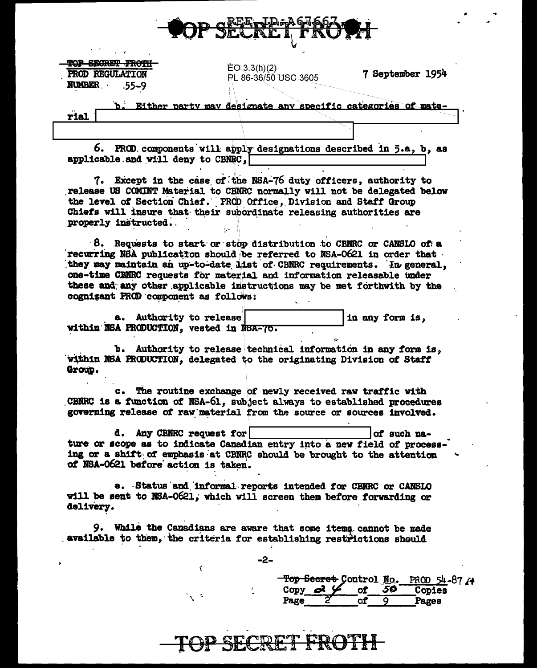

**TOP SEGRET FROTH** PROD REGULATION **NUMBER**  $.55 - 9$ 

 $EO(3.3(h)(2)$ PL 86-36/50 USC 3605

b. Either party may designate any specific categories of mate-

7 September 1954

rial

6. PROD components will apply designations described in 5.a, b, as applicable and will deny to CBNRC,

7. Except in the case of the NSA-76 duty officers, authority to release US COMINT Material to CBNRC normally will not be delegated below the level of Section Chief. PROD Office, Division and Staff Group Chiefs will insure that their subordinate releasing authorities are properly instructed.

 $\beta$ . Requests to start or stop distribution to CBNRC or CANSLO of a recurring NSA publication should be referred to NSA-0621 in order that they may maintain an up-to-date list of CBNRC requirements. In general. one-time CRNRC requests for material and information releasable under these and any other applicable instructions may be met forthwith by the cognizant PROD component as follows:

a. Authority to release in any form is, within NSA PRODUCTION, vested in NSA-70.

b. Authority to release technical information in any form is, within NSA PRODUCTION, delegated to the originating Division of Staff Group.

c. The routine exchange of newly received raw traffic with CBNRC is a function of NSA-61, subject always to established procedures governing release of raw material from the source or sources involved.

d. Any CBNRC request for of such nature or scope as to indicate Canadian entry into a new field of processing or a shift of emphasis at CBNRC should be brought to the attention of NSA-0621 before action is taken.

e. Status and informal reports intended for CBNRC or CANSLO will be sent to NSA-0621, which will screen them before forwarding or delivery.

9. Whale the Canadians are aware that some items cannot be made available to them, the criteria for establishing restrictions should

Ċ

 $\mathbf{v} \in \mathbb{R}^d$ 

**SECRET FROTH** 

Top Secret Control No. PROD 54-87 /+ ದ 5Ø` Copy оf Copies Page  $of$  $\overline{Q}$ Pages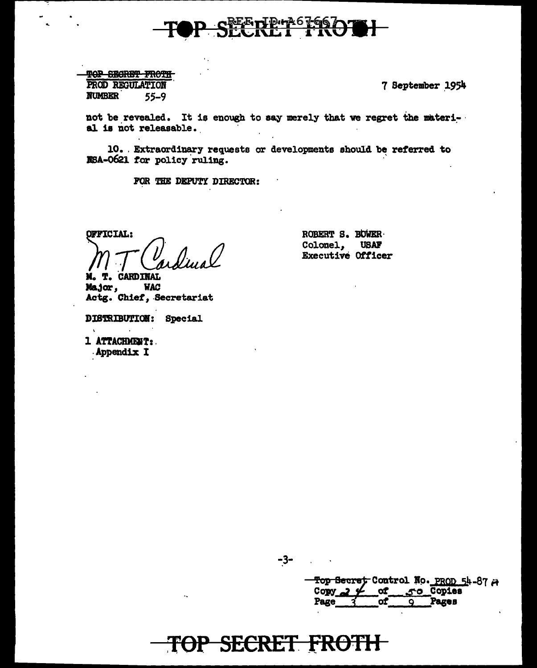

TOP SECRET FROTH PROD REGULATION **NUMBER**  $55 - 9$ 

7 September 1954

not be revealed. It is enough to say merely that we regret the material is not releasable.

10. Extraordinary requests or developments should be referred to NSA-0621 for policy ruling.

FOR THE DEPUTY DIRECTOR:

OFFICIAL:

M. T. CARDINAL

Major, **WAC** Actg. Chief, Secretariat

DISTRIBUTION: Special

1 ATTACHMENT: Appendix I

ROBERT S. BOWER Colonel, **USAF** Executive Officer

 $-3-$ 

Top Secret Control No. PROD 54-87 A **of** 50 Copies Copy Page οf Pages  $\bullet$ 

## **TOP SECRET FROTH**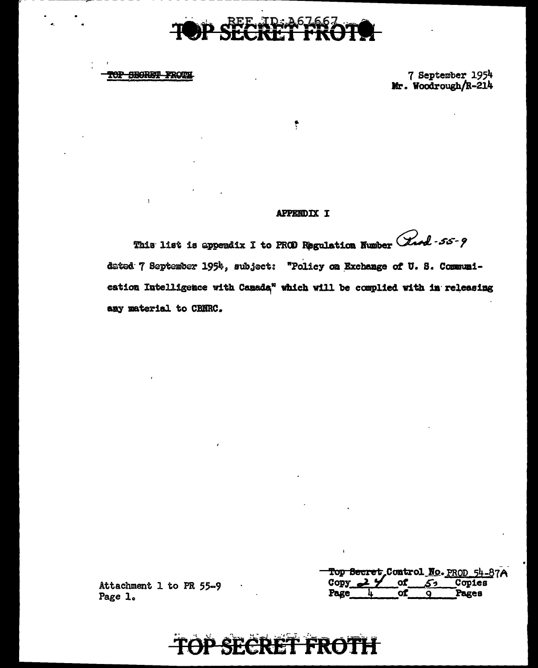

TOP SEGRET FROTE

7 September 1954<br>Mr. Woodrough/R-214

#### **APPENDIX I**

 $\ddot{\ddot{\zeta}}$ 

This list is appeadix I to PROD Regulation Number (Land - 55-9 dated 7 September 1954, subject: "Policy on Exchange of U. S. Communication Intelligence with Canada" which will be complied with in releasing any material to CBNRC.

| Top Secret, Control No. PROD 54-87A |  |          |        |
|-------------------------------------|--|----------|--------|
| $Gopy \rightarrow Y$                |  | of $52'$ | Copies |
| Page                                |  |          | Pages  |

Attachment 1 to PR 55-9 Page 1.

#### P SECRET FROT **Filt**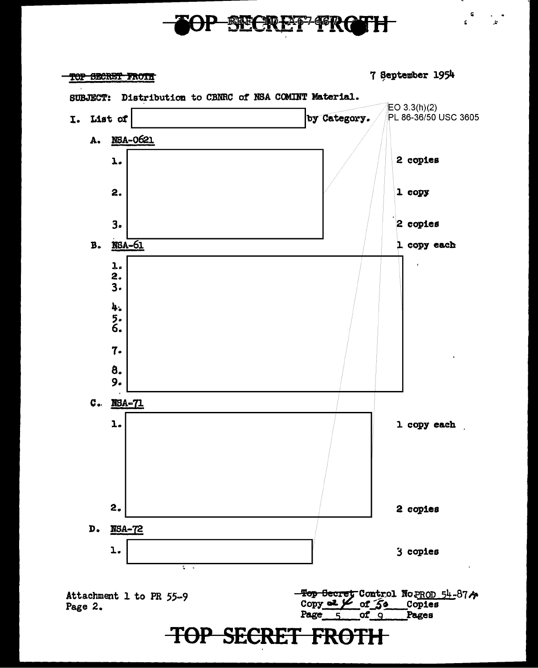## **P SECRET FRG**

**TOP SECRET FROTE** 

7 September 1954

\$

ć.

j.

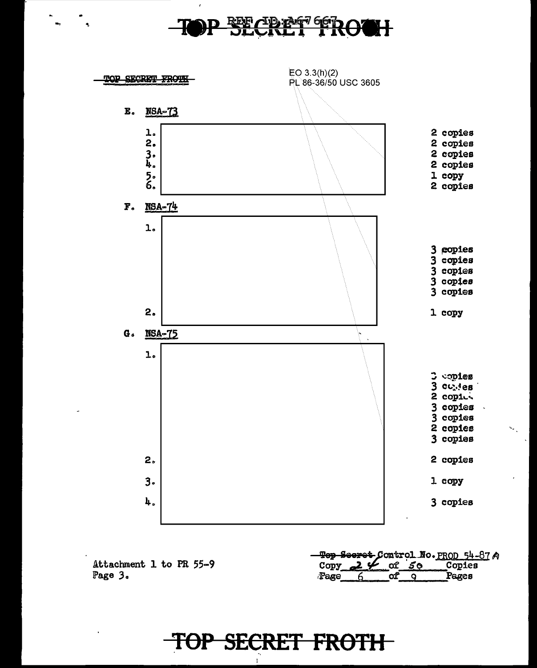## BEECBE®766ROOH



Attachment 1 to PR 55-9 Page 3.

Top Secret Control No. PROD 54-87 A of 50 Copies Copy  $\mathbf{z}$ Page  $\alpha$  $\overline{9}$ Pages

## TOP SECRET FROTH

ł.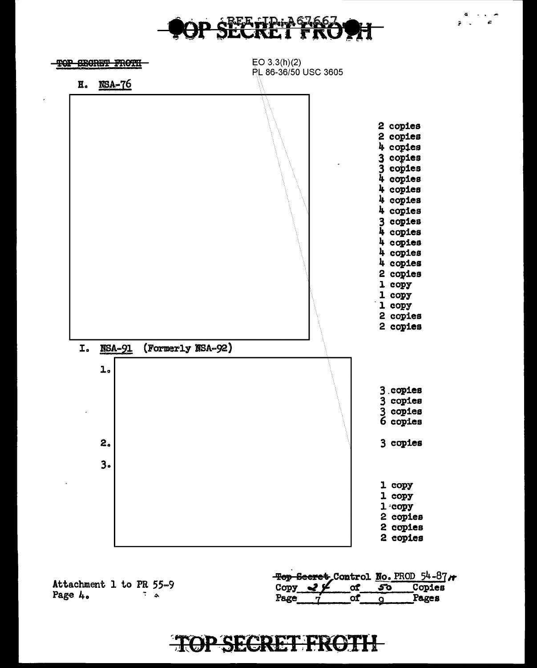

 $\mathbf{z} = \mathbf{z}$ 



Attachment 1 to PR 55-9 Page 4.  $\tilde{z}$  .

Top Secret Control No. PROD  $54-87$  / <sub>of</sub> Copies Copy  $\leq 9$  $50$ Page Pages оf  $\overline{Q}$ 

## **TOP SECRET FROTH**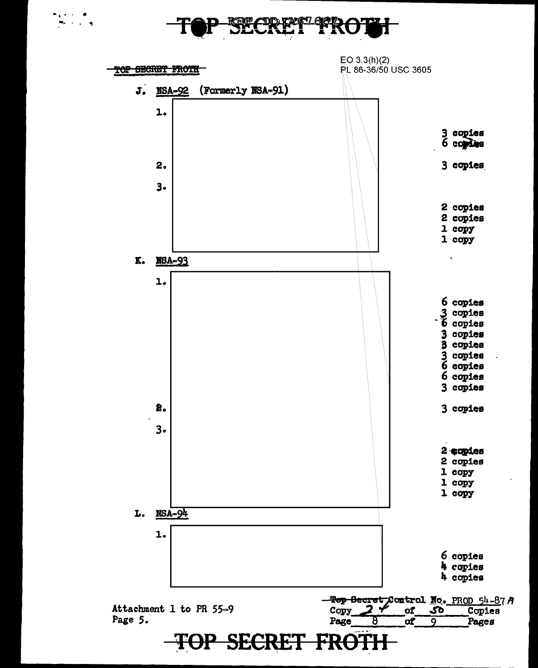$\mathcal{L}^{\mathcal{L}}$ 

![](_page_8_Figure_1.jpeg)